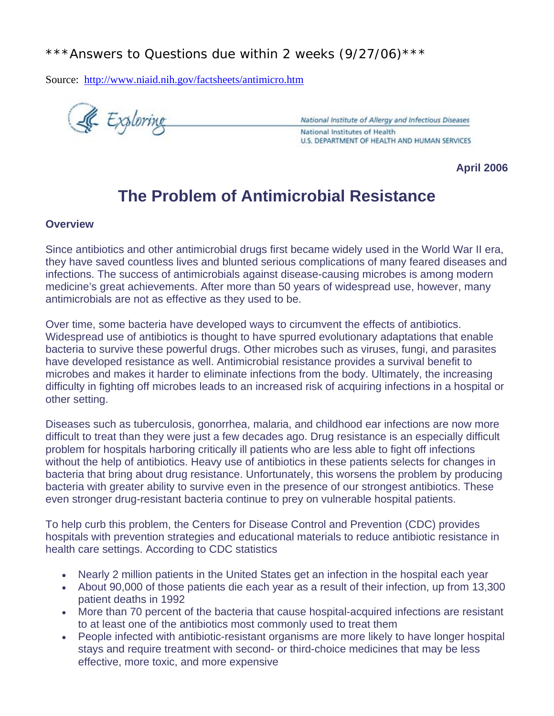## \*\*\*Answers to Questions due within 2 weeks (9/27/06)\*\*\*

Source: http://www.niaid.nih.gov/factsheets/antimicro.htm

& Exploring

National Institute of Allergy and Infectious Diseases National Institutes of Health U.S. DEPARTMENT OF HEALTH AND HUMAN SERVICES

**April 2006**

# **The Problem of Antimicrobial Resistance**

#### **Overview**

Since antibiotics and other antimicrobial drugs first became widely used in the World War II era, they have saved countless lives and blunted serious complications of many feared diseases and infections. The success of antimicrobials against disease-causing microbes is among modern medicine's great achievements. After more than 50 years of widespread use, however, many antimicrobials are not as effective as they used to be.

Over time, some bacteria have developed ways to circumvent the effects of antibiotics. Widespread use of antibiotics is thought to have spurred evolutionary adaptations that enable bacteria to survive these powerful drugs. Other microbes such as viruses, fungi, and parasites have developed resistance as well. Antimicrobial resistance provides a survival benefit to microbes and makes it harder to eliminate infections from the body. Ultimately, the increasing difficulty in fighting off microbes leads to an increased risk of acquiring infections in a hospital or other setting.

Diseases such as tuberculosis, gonorrhea, malaria, and childhood ear infections are now more difficult to treat than they were just a few decades ago. Drug resistance is an especially difficult problem for hospitals harboring critically ill patients who are less able to fight off infections without the help of antibiotics. Heavy use of antibiotics in these patients selects for changes in bacteria that bring about drug resistance. Unfortunately, this worsens the problem by producing bacteria with greater ability to survive even in the presence of our strongest antibiotics. These even stronger drug-resistant bacteria continue to prey on vulnerable hospital patients.

To help curb this problem, the Centers for Disease Control and Prevention (CDC) provides hospitals with prevention strategies and educational materials to reduce antibiotic resistance in health care settings. According to CDC statistics

- Nearly 2 million patients in the United States get an infection in the hospital each year
- About 90,000 of those patients die each year as a result of their infection, up from 13,300 patient deaths in 1992
- More than 70 percent of the bacteria that cause hospital-acquired infections are resistant to at least one of the antibiotics most commonly used to treat them
- People infected with antibiotic-resistant organisms are more likely to have longer hospital stays and require treatment with second- or third-choice medicines that may be less effective, more toxic, and more expensive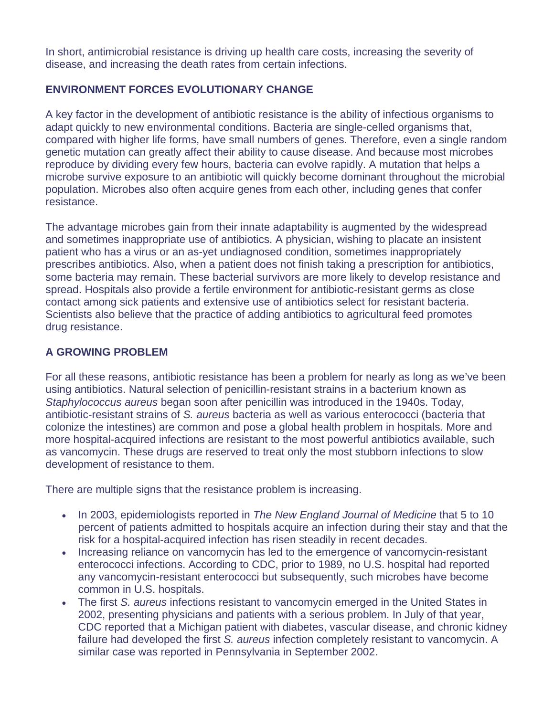In short, antimicrobial resistance is driving up health care costs, increasing the severity of disease, and increasing the death rates from certain infections.

### **ENVIRONMENT FORCES EVOLUTIONARY CHANGE**

A key factor in the development of antibiotic resistance is the ability of infectious organisms to adapt quickly to new environmental conditions. Bacteria are single-celled organisms that, compared with higher life forms, have small numbers of genes. Therefore, even a single random genetic mutation can greatly affect their ability to cause disease. And because most microbes reproduce by dividing every few hours, bacteria can evolve rapidly. A mutation that helps a microbe survive exposure to an antibiotic will quickly become dominant throughout the microbial population. Microbes also often acquire genes from each other, including genes that confer resistance.

The advantage microbes gain from their innate adaptability is augmented by the widespread and sometimes inappropriate use of antibiotics. A physician, wishing to placate an insistent patient who has a virus or an as-yet undiagnosed condition, sometimes inappropriately prescribes antibiotics. Also, when a patient does not finish taking a prescription for antibiotics, some bacteria may remain. These bacterial survivors are more likely to develop resistance and spread. Hospitals also provide a fertile environment for antibiotic-resistant germs as close contact among sick patients and extensive use of antibiotics select for resistant bacteria. Scientists also believe that the practice of adding antibiotics to agricultural feed promotes drug resistance.

### **A GROWING PROBLEM**

For all these reasons, antibiotic resistance has been a problem for nearly as long as we've been using antibiotics. Natural selection of penicillin-resistant strains in a bacterium known as *Staphylococcus aureus* began soon after penicillin was introduced in the 1940s. Today, antibiotic-resistant strains of *S. aureus* bacteria as well as various enterococci (bacteria that colonize the intestines) are common and pose a global health problem in hospitals. More and more hospital-acquired infections are resistant to the most powerful antibiotics available, such as vancomycin. These drugs are reserved to treat only the most stubborn infections to slow development of resistance to them.

There are multiple signs that the resistance problem is increasing.

- In 2003, epidemiologists reported in *The New England Journal of Medicine* that 5 to 10 percent of patients admitted to hospitals acquire an infection during their stay and that the risk for a hospital-acquired infection has risen steadily in recent decades.
- Increasing reliance on vancomycin has led to the emergence of vancomycin-resistant enterococci infections. According to CDC, prior to 1989, no U.S. hospital had reported any vancomycin-resistant enterococci but subsequently, such microbes have become common in U.S. hospitals.
- The first *S. aureus* infections resistant to vancomycin emerged in the United States in 2002, presenting physicians and patients with a serious problem. In July of that year, CDC reported that a Michigan patient with diabetes, vascular disease, and chronic kidney failure had developed the first *S. aureus* infection completely resistant to vancomycin. A similar case was reported in Pennsylvania in September 2002.